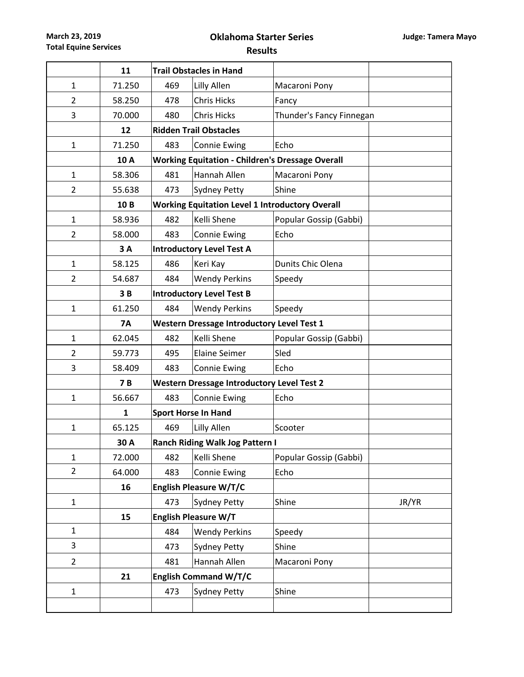**March 23, 2019 Total Equine Services**

## **Oklahoma Starter Series**

**Results**

|                | 11           |     | <b>Trail Obstacles in Hand</b>                          |                          |       |  |  |  |
|----------------|--------------|-----|---------------------------------------------------------|--------------------------|-------|--|--|--|
| $\mathbf{1}$   | 71.250       | 469 | Lilly Allen                                             | Macaroni Pony            |       |  |  |  |
| $\overline{2}$ | 58.250       | 478 | <b>Chris Hicks</b>                                      | Fancy                    |       |  |  |  |
| 3              | 70.000       | 480 | <b>Chris Hicks</b>                                      | Thunder's Fancy Finnegan |       |  |  |  |
|                | 12           |     | <b>Ridden Trail Obstacles</b>                           |                          |       |  |  |  |
| $\mathbf{1}$   | 71.250       | 483 | <b>Connie Ewing</b>                                     | Echo                     |       |  |  |  |
|                | 10A          |     | <b>Working Equitation - Children's Dressage Overall</b> |                          |       |  |  |  |
| $\mathbf{1}$   | 58.306       | 481 | Hannah Allen                                            | Macaroni Pony            |       |  |  |  |
| $\overline{2}$ | 55.638       | 473 | <b>Sydney Petty</b>                                     | Shine                    |       |  |  |  |
|                | 10B          |     | <b>Working Equitation Level 1 Introductory Overall</b>  |                          |       |  |  |  |
| $\mathbf{1}$   | 58.936       | 482 | Kelli Shene                                             | Popular Gossip (Gabbi)   |       |  |  |  |
| $\overline{2}$ | 58.000       | 483 | <b>Connie Ewing</b>                                     | Echo                     |       |  |  |  |
|                | 3A           |     | <b>Introductory Level Test A</b>                        |                          |       |  |  |  |
| $\mathbf{1}$   | 58.125       | 486 | Keri Kay                                                | Dunits Chic Olena        |       |  |  |  |
| $\overline{2}$ | 54.687       | 484 | <b>Wendy Perkins</b>                                    | Speedy                   |       |  |  |  |
|                | 3B           |     | <b>Introductory Level Test B</b>                        |                          |       |  |  |  |
| $\mathbf{1}$   | 61.250       | 484 | <b>Wendy Perkins</b>                                    | Speedy                   |       |  |  |  |
|                | <b>7A</b>    |     | <b>Western Dressage Introductory Level Test 1</b>       |                          |       |  |  |  |
| $\mathbf{1}$   | 62.045       | 482 | Kelli Shene                                             | Popular Gossip (Gabbi)   |       |  |  |  |
| $\overline{2}$ | 59.773       | 495 | <b>Elaine Seimer</b>                                    | Sled                     |       |  |  |  |
| 3              | 58.409       | 483 | <b>Connie Ewing</b>                                     | Echo                     |       |  |  |  |
|                | 7B           |     | <b>Western Dressage Introductory Level Test 2</b>       |                          |       |  |  |  |
| 1              | 56.667       | 483 | <b>Connie Ewing</b>                                     | Echo                     |       |  |  |  |
|                | $\mathbf{1}$ |     | <b>Sport Horse In Hand</b>                              |                          |       |  |  |  |
| $\mathbf{1}$   | 65.125       | 469 | Lilly Allen                                             | Scooter                  |       |  |  |  |
|                | 30 A         |     | <b>Ranch Riding Walk Jog Pattern I</b>                  |                          |       |  |  |  |
| 1              | 72.000       | 482 | Kelli Shene                                             | Popular Gossip (Gabbi)   |       |  |  |  |
| $\overline{2}$ | 64.000       | 483 | <b>Connie Ewing</b>                                     | Echo                     |       |  |  |  |
|                | 16           |     | <b>English Pleasure W/T/C</b>                           |                          |       |  |  |  |
| $\mathbf 1$    |              | 473 | <b>Sydney Petty</b>                                     | Shine                    | JR/YR |  |  |  |
|                | 15           |     | <b>English Pleasure W/T</b>                             |                          |       |  |  |  |
| $\mathbf{1}$   |              | 484 | <b>Wendy Perkins</b>                                    | Speedy                   |       |  |  |  |
| 3              |              | 473 | <b>Sydney Petty</b>                                     | Shine                    |       |  |  |  |
| $\overline{2}$ |              | 481 | Hannah Allen                                            | Macaroni Pony            |       |  |  |  |
|                | 21           |     | <b>English Command W/T/C</b>                            |                          |       |  |  |  |
| 1              |              | 473 | <b>Sydney Petty</b>                                     | Shine                    |       |  |  |  |
|                |              |     |                                                         |                          |       |  |  |  |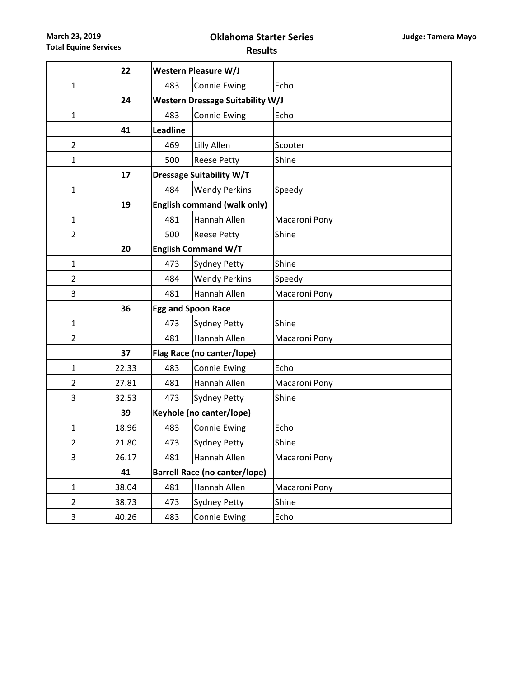**March 23, 2019 Total Equine Services**

## **Oklahoma Starter Series**

**Results**

|                | 22    |                                         | Western Pleasure W/J                 |               |  |  |  |  |  |  |
|----------------|-------|-----------------------------------------|--------------------------------------|---------------|--|--|--|--|--|--|
| $\mathbf{1}$   |       | 483                                     | <b>Connie Ewing</b>                  | Echo          |  |  |  |  |  |  |
|                | 24    | <b>Western Dressage Suitability W/J</b> |                                      |               |  |  |  |  |  |  |
| $\mathbf{1}$   |       | 483                                     | <b>Connie Ewing</b>                  | Echo          |  |  |  |  |  |  |
|                | 41    | <b>Leadline</b>                         |                                      |               |  |  |  |  |  |  |
| $\overline{2}$ |       | 469                                     | Lilly Allen                          | Scooter       |  |  |  |  |  |  |
| $\mathbf{1}$   |       | 500                                     | <b>Reese Petty</b>                   | Shine         |  |  |  |  |  |  |
|                | 17    |                                         | <b>Dressage Suitability W/T</b>      |               |  |  |  |  |  |  |
| $\mathbf{1}$   |       | 484                                     | <b>Wendy Perkins</b>                 | Speedy        |  |  |  |  |  |  |
|                | 19    |                                         | <b>English command (walk only)</b>   |               |  |  |  |  |  |  |
| $\mathbf{1}$   |       | 481                                     | Hannah Allen                         | Macaroni Pony |  |  |  |  |  |  |
| $\overline{2}$ |       | 500                                     | <b>Reese Petty</b>                   | Shine         |  |  |  |  |  |  |
|                | 20    |                                         | <b>English Command W/T</b>           |               |  |  |  |  |  |  |
| $\mathbf{1}$   |       | 473                                     | <b>Sydney Petty</b>                  | Shine         |  |  |  |  |  |  |
| $\overline{2}$ |       | 484                                     | <b>Wendy Perkins</b>                 | Speedy        |  |  |  |  |  |  |
| 3              |       | Hannah Allen<br>481                     |                                      | Macaroni Pony |  |  |  |  |  |  |
|                | 36    |                                         | <b>Egg and Spoon Race</b>            |               |  |  |  |  |  |  |
| $\mathbf{1}$   |       | 473                                     | <b>Sydney Petty</b>                  | Shine         |  |  |  |  |  |  |
| $\overline{2}$ |       | Hannah Allen<br>481                     |                                      | Macaroni Pony |  |  |  |  |  |  |
|                | 37    |                                         | Flag Race (no canter/lope)           |               |  |  |  |  |  |  |
| $\mathbf{1}$   | 22.33 | 483                                     | <b>Connie Ewing</b>                  | Echo          |  |  |  |  |  |  |
| $\overline{2}$ | 27.81 | 481                                     | Hannah Allen                         | Macaroni Pony |  |  |  |  |  |  |
| 3              | 32.53 | 473                                     | <b>Sydney Petty</b>                  | Shine         |  |  |  |  |  |  |
|                | 39    |                                         | Keyhole (no canter/lope)             |               |  |  |  |  |  |  |
| $\mathbf{1}$   | 18.96 | 483                                     | <b>Connie Ewing</b>                  | Echo          |  |  |  |  |  |  |
| $\overline{2}$ | 21.80 | 473                                     | <b>Sydney Petty</b>                  | Shine         |  |  |  |  |  |  |
| 3              | 26.17 | 481                                     | Hannah Allen                         | Macaroni Pony |  |  |  |  |  |  |
|                | 41    |                                         | <b>Barrell Race (no canter/lope)</b> |               |  |  |  |  |  |  |
| $\mathbf{1}$   | 38.04 | 481                                     | Hannah Allen                         | Macaroni Pony |  |  |  |  |  |  |
| $\overline{2}$ | 38.73 | 473                                     | <b>Sydney Petty</b>                  | Shine         |  |  |  |  |  |  |
| 3              | 40.26 | 483                                     | <b>Connie Ewing</b>                  | Echo          |  |  |  |  |  |  |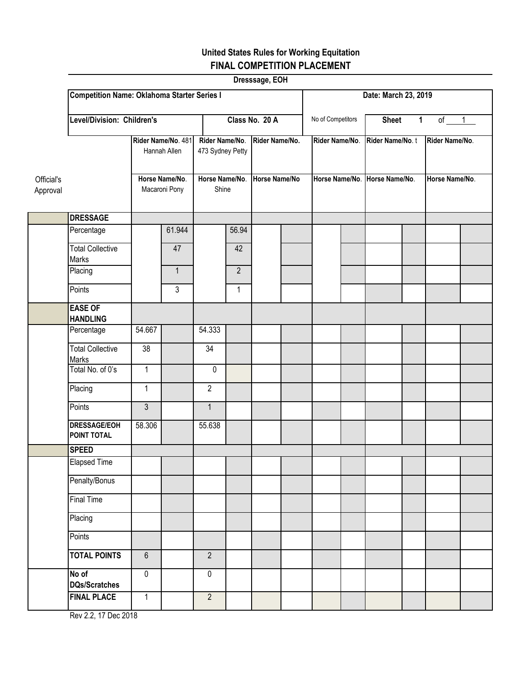## **United States Rules for Working Equitation FINAL COMPETITION PLACEMENT**

|          |                                                                                     |                |                                    |                |                         | Dresssage, EOH |                |                      |                   |                                          |                |                |  |  |  |
|----------|-------------------------------------------------------------------------------------|----------------|------------------------------------|----------------|-------------------------|----------------|----------------|----------------------|-------------------|------------------------------------------|----------------|----------------|--|--|--|
|          | <b>Competition Name: Oklahoma Starter Series I</b>                                  |                |                                    |                |                         |                |                | Date: March 23, 2019 |                   |                                          |                |                |  |  |  |
|          | Level/Division: Children's                                                          |                |                                    |                | Class No. 20 A          |                |                |                      | No of Competitors | $of \t 1$<br>$\mathbf 1$<br><b>Sheet</b> |                |                |  |  |  |
|          | Rider Name/No. 481<br>Hannah Allen<br>Horse Name/No.<br>Official's<br>Macaroni Pony |                | Rider Name/No.<br>473 Sydney Petty |                | Rider Name/No.          |                | Rider Name/No. |                      | Rider Name/No.t   |                                          | Rider Name/No. |                |  |  |  |
| Approval |                                                                                     |                |                                    |                | Horse Name/No.<br>Shine |                | Horse Name/No  | Horse Name/No.       |                   | Horse Name/No.                           |                | Horse Name/No. |  |  |  |
|          | <b>DRESSAGE</b>                                                                     |                |                                    |                |                         |                |                |                      |                   |                                          |                |                |  |  |  |
|          | Percentage                                                                          |                | 61.944                             |                | 56.94                   |                |                |                      |                   |                                          |                |                |  |  |  |
|          | <b>Total Collective</b><br>Marks                                                    |                | 47                                 |                | 42                      |                |                |                      |                   |                                          |                |                |  |  |  |
|          | Placing                                                                             |                | $\mathbf{1}$                       |                | $\overline{2}$          |                |                |                      |                   |                                          |                |                |  |  |  |
|          | Points                                                                              |                | $\overline{3}$                     |                | $\mathbf{1}$            |                |                |                      |                   |                                          |                |                |  |  |  |
|          | <b>EASE OF</b><br><b>HANDLING</b>                                                   |                |                                    |                |                         |                |                |                      |                   |                                          |                |                |  |  |  |
|          | Percentage                                                                          | 54.667         |                                    | 54.333         |                         |                |                |                      |                   |                                          |                |                |  |  |  |
|          | <b>Total Collective</b><br>Marks                                                    | 38             |                                    | 34             |                         |                |                |                      |                   |                                          |                |                |  |  |  |
|          | Total No. of 0's                                                                    | $\mathbf{1}$   |                                    | $\pmb{0}$      |                         |                |                |                      |                   |                                          |                |                |  |  |  |
|          | Placing                                                                             | $\mathbf{1}$   |                                    | $\overline{2}$ |                         |                |                |                      |                   |                                          |                |                |  |  |  |
|          | Points                                                                              | $\mathfrak{Z}$ |                                    | $\mathbf{1}$   |                         |                |                |                      |                   |                                          |                |                |  |  |  |
|          | <b>DRESSAGE/EOH</b><br>POINT TOTAL                                                  | 58.306         |                                    | 55.638         |                         |                |                |                      |                   |                                          |                |                |  |  |  |
|          | <b>SPEED</b>                                                                        |                |                                    |                |                         |                |                |                      |                   |                                          |                |                |  |  |  |
|          | <b>Elapsed Time</b>                                                                 |                |                                    |                |                         |                |                |                      |                   |                                          |                |                |  |  |  |
|          | Penalty/Bonus                                                                       |                |                                    |                |                         |                |                |                      |                   |                                          |                |                |  |  |  |
|          | <b>Final Time</b>                                                                   |                |                                    |                |                         |                |                |                      |                   |                                          |                |                |  |  |  |
|          | Placing                                                                             |                |                                    |                |                         |                |                |                      |                   |                                          |                |                |  |  |  |
|          | Points                                                                              |                |                                    |                |                         |                |                |                      |                   |                                          |                |                |  |  |  |
|          | <b>TOTAL POINTS</b>                                                                 | $6\phantom{a}$ |                                    | $\overline{2}$ |                         |                |                |                      |                   |                                          |                |                |  |  |  |
|          | No of<br><b>DQs/Scratches</b>                                                       | $\pmb{0}$      |                                    | $\pmb{0}$      |                         |                |                |                      |                   |                                          |                |                |  |  |  |
|          | <b>FINAL PLACE</b>                                                                  | $\mathbf{1}$   |                                    | $\overline{2}$ |                         |                |                |                      |                   |                                          |                |                |  |  |  |

Rev 2.2, 17 Dec 2018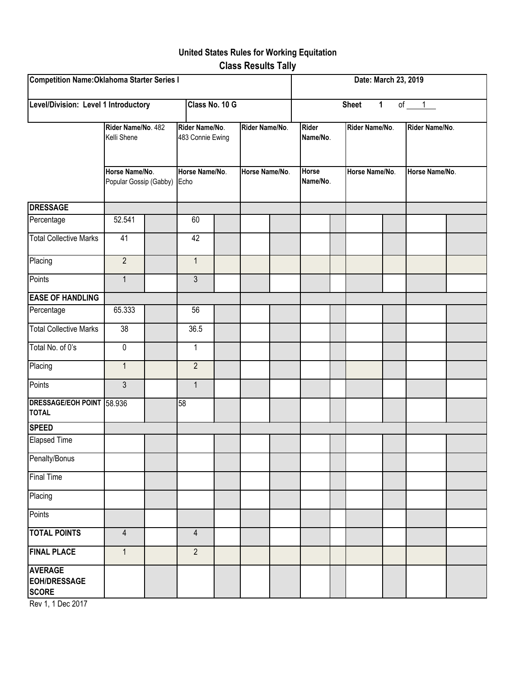## **United States Rules for Working Equitation Class Results Tally**

| Competition Name: Oklahoma Starter Series I            |                                                                               |  |                                                              |  |                                  |  |                                                      | Date: March 23, 2019 |                                  |  |                                  |  |  |
|--------------------------------------------------------|-------------------------------------------------------------------------------|--|--------------------------------------------------------------|--|----------------------------------|--|------------------------------------------------------|----------------------|----------------------------------|--|----------------------------------|--|--|
| Level/Division: Level 1 Introductory<br>Class No. 10 G |                                                                               |  |                                                              |  |                                  |  | <b>Sheet</b><br>$\mathbf{1}$<br>of $1$               |                      |                                  |  |                                  |  |  |
|                                                        | Rider Name/No. 482<br>Kelli Shene<br>Horse Name/No.<br>Popular Gossip (Gabby) |  | Rider Name/No.<br>483 Connie Ewing<br>Horse Name/No.<br>Echo |  | Rider Name/No.<br>Horse Name/No. |  | <b>Rider</b><br>Name/No.<br><b>Horse</b><br>Name/No. |                      | Rider Name/No.<br>Horse Name/No. |  | Rider Name/No.<br>Horse Name/No. |  |  |
|                                                        |                                                                               |  |                                                              |  |                                  |  |                                                      |                      |                                  |  |                                  |  |  |
| <b>DRESSAGE</b>                                        |                                                                               |  |                                                              |  |                                  |  |                                                      |                      |                                  |  |                                  |  |  |
| Percentage                                             | 52.541                                                                        |  | 60                                                           |  |                                  |  |                                                      |                      |                                  |  |                                  |  |  |
| <b>Total Collective Marks</b>                          | 41                                                                            |  | 42                                                           |  |                                  |  |                                                      |                      |                                  |  |                                  |  |  |
| Placing                                                | $\overline{2}$                                                                |  | $\mathbf{1}$                                                 |  |                                  |  |                                                      |                      |                                  |  |                                  |  |  |
| Points                                                 | $\mathbf{1}$                                                                  |  | 3                                                            |  |                                  |  |                                                      |                      |                                  |  |                                  |  |  |
| <b>EASE OF HANDLING</b>                                |                                                                               |  |                                                              |  |                                  |  |                                                      |                      |                                  |  |                                  |  |  |
| Percentage                                             | 65.333                                                                        |  | 56                                                           |  |                                  |  |                                                      |                      |                                  |  |                                  |  |  |
| <b>Total Collective Marks</b>                          | 38                                                                            |  | 36.5                                                         |  |                                  |  |                                                      |                      |                                  |  |                                  |  |  |
| Total No. of 0's                                       | $\pmb{0}$                                                                     |  | $\mathbf{1}$                                                 |  |                                  |  |                                                      |                      |                                  |  |                                  |  |  |
| Placing                                                | $\mathbf{1}$                                                                  |  | $\overline{2}$                                               |  |                                  |  |                                                      |                      |                                  |  |                                  |  |  |
| Points                                                 | $\mathfrak{Z}$                                                                |  | $\mathbf{1}$                                                 |  |                                  |  |                                                      |                      |                                  |  |                                  |  |  |
| DRESSAGE/EOH POINT 58.936<br><b>TOTAL</b>              |                                                                               |  | 58                                                           |  |                                  |  |                                                      |                      |                                  |  |                                  |  |  |
| <b>SPEED</b>                                           |                                                                               |  |                                                              |  |                                  |  |                                                      |                      |                                  |  |                                  |  |  |
| Elapsed Time                                           |                                                                               |  |                                                              |  |                                  |  |                                                      |                      |                                  |  |                                  |  |  |
| Penalty/Bonus                                          |                                                                               |  |                                                              |  |                                  |  |                                                      |                      |                                  |  |                                  |  |  |
| Final Time                                             |                                                                               |  |                                                              |  |                                  |  |                                                      |                      |                                  |  |                                  |  |  |
| Placing                                                |                                                                               |  |                                                              |  |                                  |  |                                                      |                      |                                  |  |                                  |  |  |
| Points                                                 |                                                                               |  |                                                              |  |                                  |  |                                                      |                      |                                  |  |                                  |  |  |
| <b>TOTAL POINTS</b>                                    | $\overline{4}$                                                                |  | $\overline{4}$                                               |  |                                  |  |                                                      |                      |                                  |  |                                  |  |  |
| <b>FINAL PLACE</b>                                     | $\mathbf{1}$                                                                  |  | $\overline{2}$                                               |  |                                  |  |                                                      |                      |                                  |  |                                  |  |  |
| <b>AVERAGE</b><br><b>EOH/DRESSAGE</b><br><b>SCORE</b>  |                                                                               |  |                                                              |  |                                  |  |                                                      |                      |                                  |  |                                  |  |  |

Rev 1, 1 Dec 2017